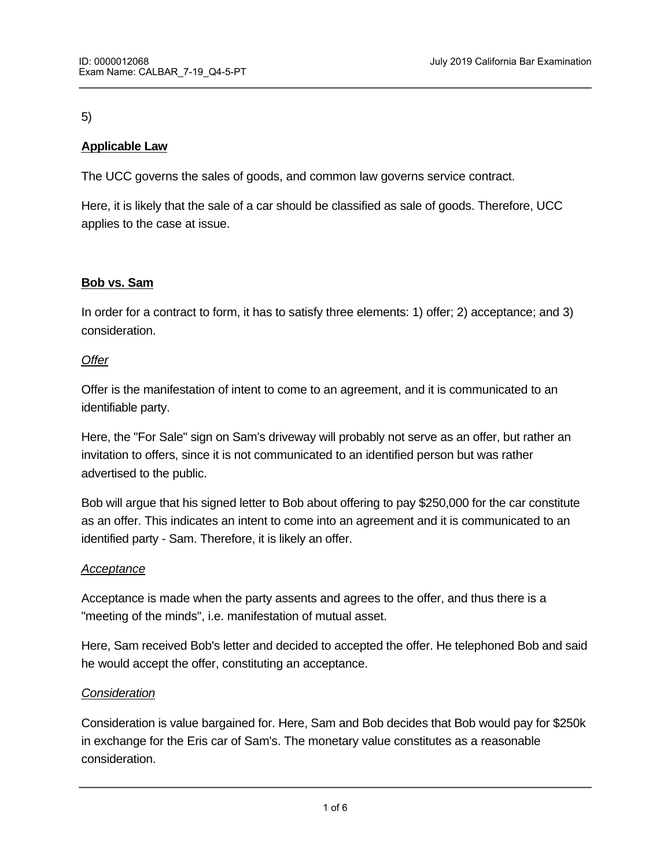# 5)

# **Applicable Law**

The UCC governs the sales of goods, and common law governs service contract.

Here, it is likely that the sale of a car should be classified as sale of goods. Therefore, UCC applies to the case at issue.

# **Bob vs. Sam**

In order for a contract to form, it has to satisfy three elements: 1) offer; 2) acceptance; and 3) consideration.

## *Offer*

Offer is the manifestation of intent to come to an agreement, and it is communicated to an identifiable party.

Here, the "For Sale" sign on Sam's driveway will probably not serve as an offer, but rather an invitation to offers, since it is not communicated to an identified person but was rather advertised to the public.

Bob will argue that his signed letter to Bob about offering to pay \$250,000 for the car constitute as an offer. This indicates an intent to come into an agreement and it is communicated to an identified party - Sam. Therefore, it is likely an offer.

# *Acceptance*

Acceptance is made when the party assents and agrees to the offer, and thus there is a "meeting of the minds", i.e. manifestation of mutual asset.

Here, Sam received Bob's letter and decided to accepted the offer. He telephoned Bob and said he would accept the offer, constituting an acceptance.

# *Consideration*

*Formation Defense: Statute of Frauds*

Consideration is value bargained for. Here, Sam and Bob decides that Bob would pay for \$250k in exchange for the Eris car of Sam's. The monetary value constitutes as a reasonable consideration.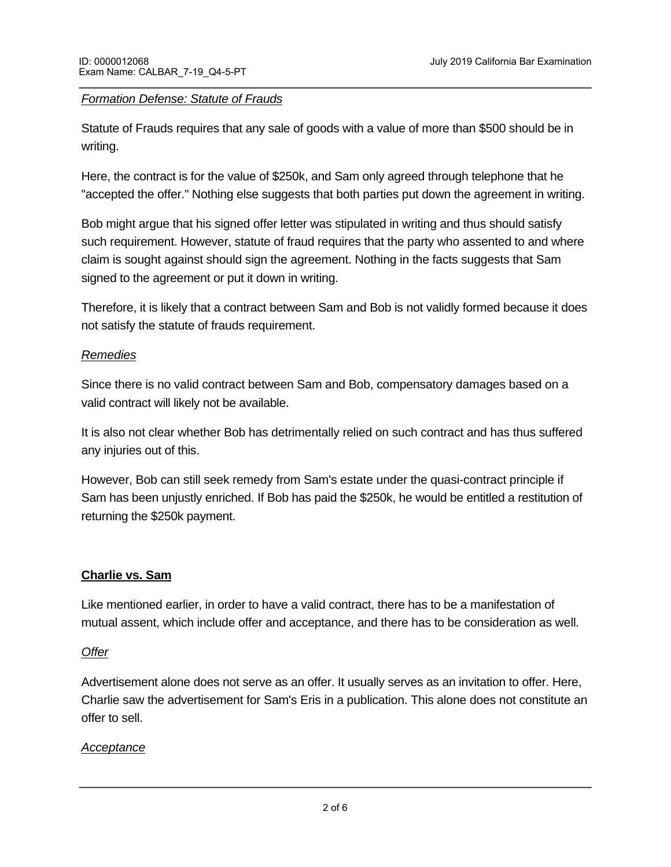## *Formation Defense: Statute of Frauds*

Statute of Frauds requires that any sale of goods with a value of more than \$500 should be in writing.

Here, the contract is for the value of \$250k, and Sam only agreed through telephone that he "accepted the offer." Nothing else suggests that both parties put down the agreement in writing.

Bob might argue that his signed offer letter was stipulated in writing and thus should satisfy such requirement. However, statute of fraud requires that the party who assented to and where claim is sought against should sign the agreement. Nothing in the facts suggests that Sam signed to the agreement or put it down in writing.

Therefore, it is likely that a contract between Sam and Bob is not validly formed because it does not satisfy the statute of frauds requirement.

## *Remedies*

Since there is no valid contract between Sam and Bob, compensatory damages based on a valid contract will likely not be available.

It is also not clear whether Bob has detrimentally relied on such contract and has thus suffered any injuries out of this.

However, Bob can still seek remedy from Sam's estate under the quasi-contract principle if Sam has been unjustly enriched. If Bob has paid the \$250k, he would be entitled a restitution of returning the \$250k payment.

# **Charlie vs. Sam**

Like mentioned earlier, in order to have a valid contract, there has to be a manifestation of mutual assent, which include offer and acceptance, and there has to be consideration as well.

## *Offer*

Advertisement alone does not serve as an offer. It usually serves as an invitation to offer. Here, Charlie saw the advertisement for Sam's Eris in a publication. This alone does not constitute an offer to sell.

## *Acceptance*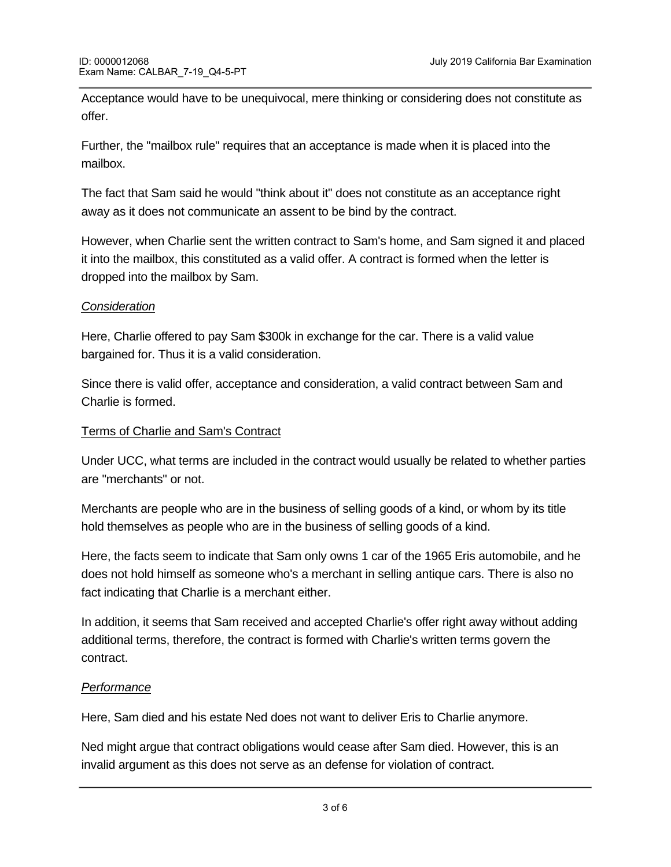Acceptance would have to be unequivocal, mere thinking or considering does not constitute as offer.

Further, the "mailbox rule" requires that an acceptance is made when it is placed into the mailbox.

The fact that Sam said he would "think about it" does not constitute as an acceptance right away as it does not communicate an assent to be bind by the contract.

However, when Charlie sent the written contract to Sam's home, and Sam signed it and placed it into the mailbox, this constituted as a valid offer. A contract is formed when the letter is dropped into the mailbox by Sam.

# *Consideration*

Here, Charlie offered to pay Sam \$300k in exchange for the car. There is a valid value bargained for. Thus it is a valid consideration.

Since there is valid offer, acceptance and consideration, a valid contract between Sam and Charlie is formed.

## Terms of Charlie and Sam's Contract

Under UCC, what terms are included in the contract would usually be related to whether parties are "merchants" or not.

Merchants are people who are in the business of selling goods of a kind, or whom by its title hold themselves as people who are in the business of selling goods of a kind.

Here, the facts seem to indicate that Sam only owns 1 car of the 1965 Eris automobile, and he does not hold himself as someone who's a merchant in selling antique cars. There is also no fact indicating that Charlie is a merchant either.

In addition, it seems that Sam received and accepted Charlie's offer right away without adding additional terms, therefore, the contract is formed with Charlie's written terms govern the contract.

## *Performance*

Here, Sam died and his estate Ned does not want to deliver Eris to Charlie anymore.

Ned might argue that contract obligations would cease after Sam died. However, this is an invalid argument as this does not serve as an defense for violation of contract.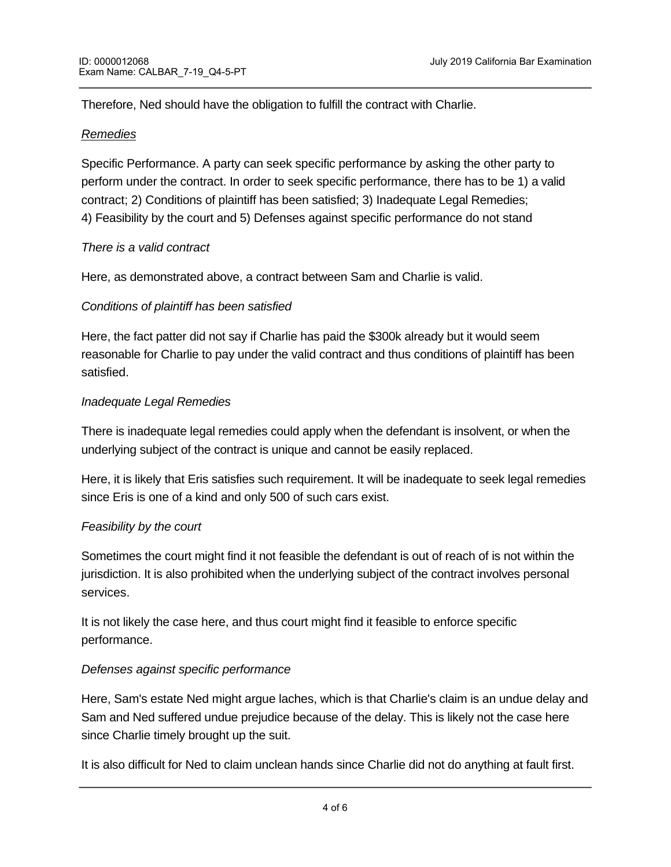Therefore, Ned should have the obligation to fulfill the contract with Charlie.

## *Remedies*

Specific Performance. A party can seek specific performance by asking the other party to perform under the contract. In order to seek specific performance, there has to be 1) a valid contract; 2) Conditions of plaintiff has been satisfied; 3) Inadequate Legal Remedies; 4) Feasibility by the court and 5) Defenses against specific performance do not stand

## *There is a valid contract*

Here, as demonstrated above, a contract between Sam and Charlie is valid.

## *Conditions of plaintiff has been satisfied*

Here, the fact patter did not say if Charlie has paid the \$300k already but it would seem reasonable for Charlie to pay under the valid contract and thus conditions of plaintiff has been satisfied.

## *Inadequate Legal Remedies*

There is inadequate legal remedies could apply when the defendant is insolvent, or when the underlying subject of the contract is unique and cannot be easily replaced.

Here, it is likely that Eris satisfies such requirement. It will be inadequate to seek legal remedies since Eris is one of a kind and only 500 of such cars exist.

# *Feasibility by the court*

Sometimes the court might find it not feasible the defendant is out of reach of is not within the jurisdiction. It is also prohibited when the underlying subject of the contract involves personal services.

It is not likely the case here, and thus court might find it feasible to enforce specific performance.

# *Defenses against specific performance*

Here, Sam's estate Ned might argue laches, which is that Charlie's claim is an undue delay and Sam and Ned suffered undue prejudice because of the delay. This is likely not the case here since Charlie timely brought up the suit.

It is also difficult for Ned to claim unclean hands since Charlie did not do anything at fault first.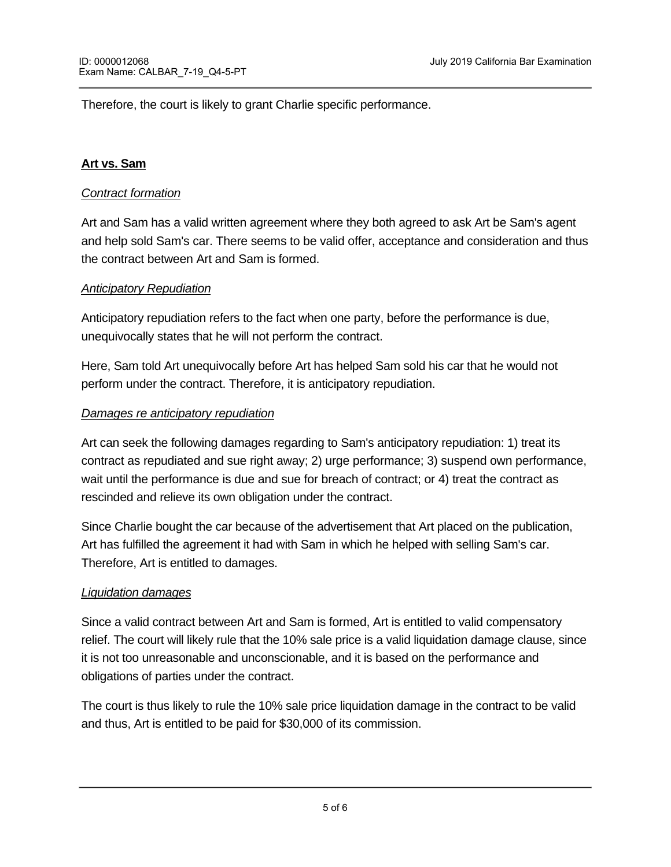Therefore, the court is likely to grant Charlie specific performance.

## **Art vs. Sam**

## *Contract formation*

Art and Sam has a valid written agreement where they both agreed to ask Art be Sam's agent and help sold Sam's car. There seems to be valid offer, acceptance and consideration and thus the contract between Art and Sam is formed.

## *Anticipatory Repudiation*

Anticipatory repudiation refers to the fact when one party, before the performance is due, unequivocally states that he will not perform the contract.

Here, Sam told Art unequivocally before Art has helped Sam sold his car that he would not perform under the contract. Therefore, it is anticipatory repudiation.

## *Damages re anticipatory repudiation*

<u> Australia Word Count = 1474, 1474, 1474, 1474, 1474, 1474, 1474, 1474, 1474, 1474, 1474, 1474, 1474, 1474, 14</u>

Art can seek the following damages regarding to Sam's anticipatory repudiation: 1) treat its contract as repudiated and sue right away; 2) urge performance; 3) suspend own performance, wait until the performance is due and sue for breach of contract; or 4) treat the contract as rescinded and relieve its own obligation under the contract.

Since Charlie bought the car because of the advertisement that Art placed on the publication, Art has fulfilled the agreement it had with Sam in which he helped with selling Sam's car. Therefore, Art is entitled to damages.

## *Liquidation damages*

Since a valid contract between Art and Sam is formed, Art is entitled to valid compensatory relief. The court will likely rule that the 10% sale price is a valid liquidation damage clause, since it is not too unreasonable and unconscionable, and it is based on the performance and obligations of parties under the contract.

The court is thus likely to rule the 10% sale price liquidation damage in the contract to be valid and thus, Art is entitled to be paid for \$30,000 of its commission.